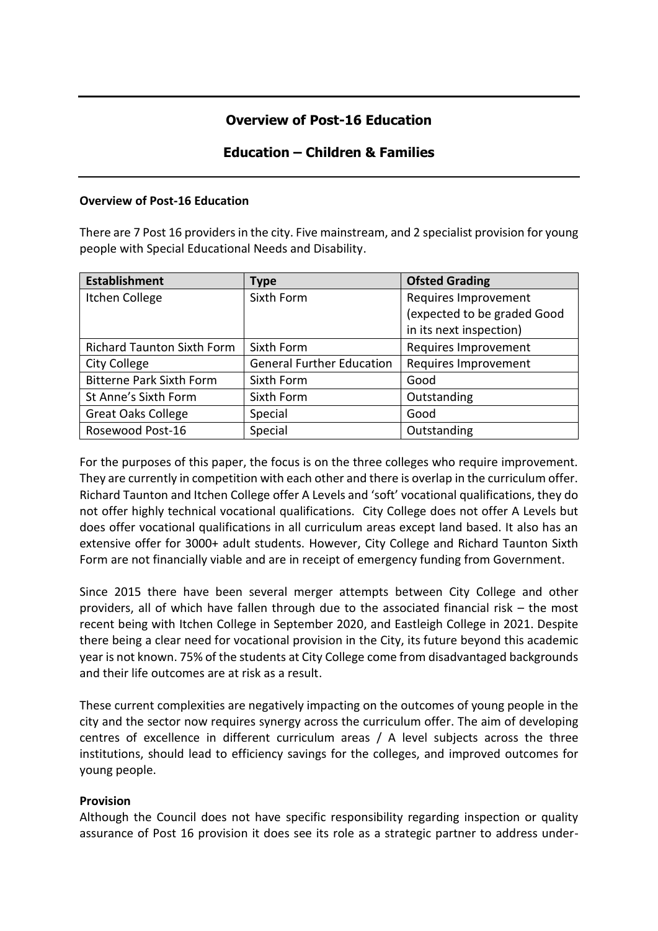# **Overview of Post-16 Education**

## **Education – Children & Families**

#### **Overview of Post-16 Education**

There are 7 Post 16 providers in the city. Five mainstream, and 2 specialist provision for young people with Special Educational Needs and Disability.

| <b>Establishment</b>              | <b>Type</b>                      | <b>Ofsted Grading</b>       |  |
|-----------------------------------|----------------------------------|-----------------------------|--|
| <b>Itchen College</b>             | Sixth Form                       | Requires Improvement        |  |
|                                   |                                  | (expected to be graded Good |  |
|                                   |                                  | in its next inspection)     |  |
| <b>Richard Taunton Sixth Form</b> | Sixth Form                       | Requires Improvement        |  |
| <b>City College</b>               | <b>General Further Education</b> | Requires Improvement        |  |
| <b>Bitterne Park Sixth Form</b>   | Sixth Form                       | Good                        |  |
| St Anne's Sixth Form              | Sixth Form                       | Outstanding                 |  |
| <b>Great Oaks College</b>         | Special                          | Good                        |  |
| Rosewood Post-16                  | Special                          | Outstanding                 |  |

For the purposes of this paper, the focus is on the three colleges who require improvement. They are currently in competition with each other and there is overlap in the curriculum offer. Richard Taunton and Itchen College offer A Levels and 'soft' vocational qualifications, they do not offer highly technical vocational qualifications. City College does not offer A Levels but does offer vocational qualifications in all curriculum areas except land based. It also has an extensive offer for 3000+ adult students. However, City College and Richard Taunton Sixth Form are not financially viable and are in receipt of emergency funding from Government.

Since 2015 there have been several merger attempts between City College and other providers, all of which have fallen through due to the associated financial risk – the most recent being with Itchen College in September 2020, and Eastleigh College in 2021. Despite there being a clear need for vocational provision in the City, its future beyond this academic year is not known. 75% of the students at City College come from disadvantaged backgrounds and their life outcomes are at risk as a result.

These current complexities are negatively impacting on the outcomes of young people in the city and the sector now requires synergy across the curriculum offer. The aim of developing centres of excellence in different curriculum areas / A level subjects across the three institutions, should lead to efficiency savings for the colleges, and improved outcomes for young people.

### **Provision**

Although the Council does not have specific responsibility regarding inspection or quality assurance of Post 16 provision it does see its role as a strategic partner to address under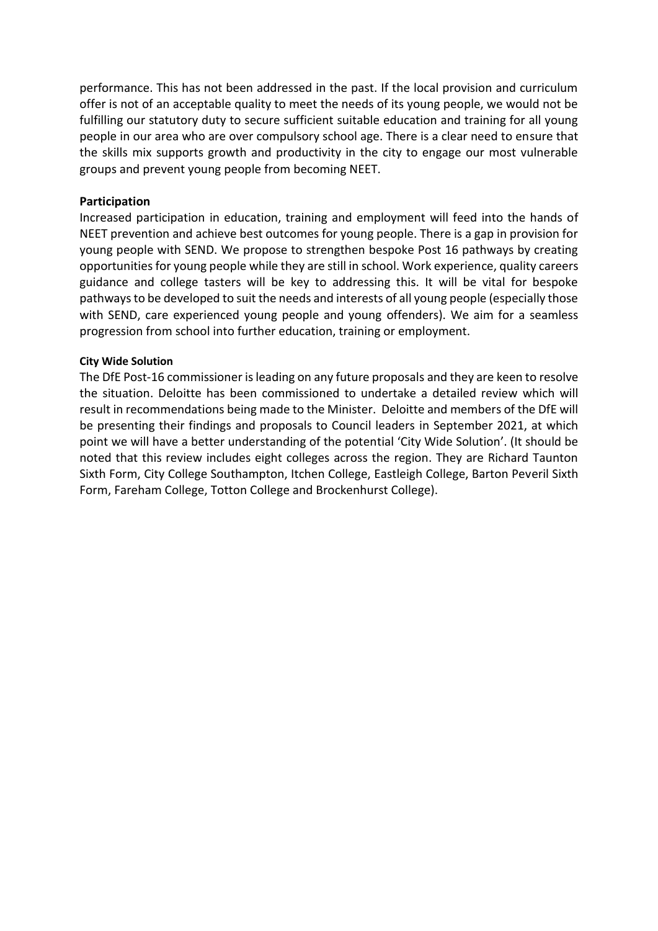performance. This has not been addressed in the past. If the local provision and curriculum offer is not of an acceptable quality to meet the needs of its young people, we would not be fulfilling our statutory duty to secure sufficient suitable education and training for all young people in our area who are over compulsory school age. There is a clear need to ensure that the skills mix supports growth and productivity in the city to engage our most vulnerable groups and prevent young people from becoming NEET.

#### **Participation**

Increased participation in education, training and employment will feed into the hands of NEET prevention and achieve best outcomes for young people. There is a gap in provision for young people with SEND. We propose to strengthen bespoke Post 16 pathways by creating opportunities for young people while they are still in school. Work experience, quality careers guidance and college tasters will be key to addressing this. It will be vital for bespoke pathways to be developed to suit the needs and interests of all young people (especially those with SEND, care experienced young people and young offenders). We aim for a seamless progression from school into further education, training or employment.

#### **City Wide Solution**

The DfE Post-16 commissioner is leading on any future proposals and they are keen to resolve the situation. Deloitte has been commissioned to undertake a detailed review which will result in recommendations being made to the Minister. Deloitte and members of the DfE will be presenting their findings and proposals to Council leaders in September 2021, at which point we will have a better understanding of the potential 'City Wide Solution'. (It should be noted that this review includes eight colleges across the region. They are Richard Taunton Sixth Form, City College Southampton, Itchen College, Eastleigh College, Barton Peveril Sixth Form, Fareham College, Totton College and Brockenhurst College).